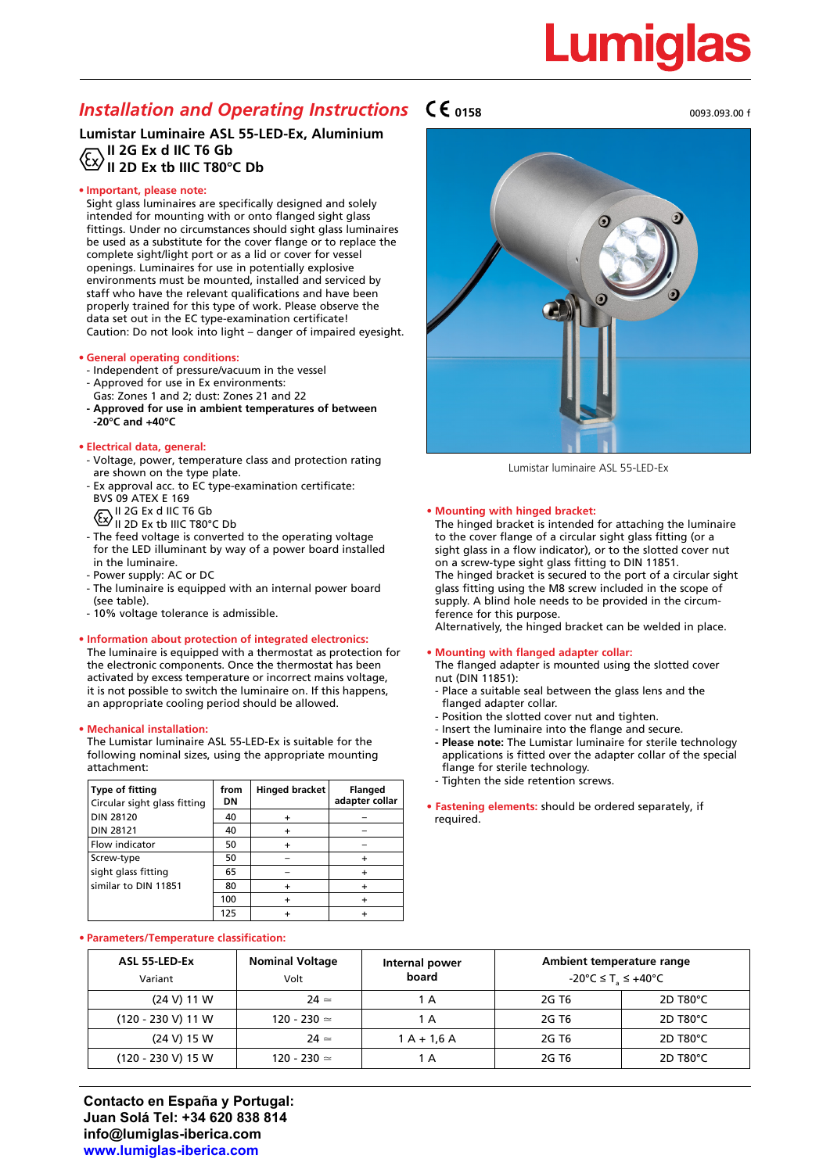# Lumia

# *Installation and Operating Instructions*  $\mathsf{C}\mathsf{C}$ <sub>0158</sub>

# **Lumistar Luminaire ASL 55-LED-Ex, Aluminium II 2G Ex d IIC T6 Gb II 2D Ex tb IIIC T80°C Db**

# **• Important, please note:**

Sight glass luminaires are specifically designed and solely intended for mounting with or onto flanged sight glass fittings. Under no circumstances should sight glass luminaires be used as a substitute for the cover flange or to replace the complete sight/light port or as a lid or cover for vessel openings. Luminaires for use in potentially explosive environments must be mounted, installed and serviced by staff who have the relevant qualifications and have been properly trained for this type of work. Please observe the data set out in the EC type-examination certificate! Caution: Do not look into light – danger of impaired eyesight.

### **• General operating conditions:**

- Independent of pressure/vacuum in the vessel
- Approved for use in Ex environments:
- Gas: Zones 1 and 2; dust: Zones 21 and 22
- **Approved for use in ambient temperatures of between -20°C and +40°C**

### **• Electrical data, general:**

- Voltage, power, temperature class and protection rating are shown on the type plate.
- Ex approval acc. to EC type-examination certificate: BVS 09 ATEX E 169
	- II 2G Ex d IIC T6 Gb
	-
	- II 2D Ex tb IIIC T80°C Db
- The feed voltage is converted to the operating voltage for the LED illuminant by way of a power board installed in the luminaire.
- Power supply: AC or DC
- The luminaire is equipped with an internal power board (see table).
- 10% voltage tolerance is admissible.

### **• Information about protection of integrated electronics:**

The luminaire is equipped with a thermostat as protection for the electronic components. Once the thermostat has been activated by excess temperature or incorrect mains voltage, it is not possible to switch the luminaire on. If this happens, an appropriate cooling period should be allowed.

### **• Mechanical installation:**

The Lumistar luminaire ASL 55-LED-Ex is suitable for the following nominal sizes, using the appropriate mounting attachment:

| <b>Type of fitting</b><br>Circular sight glass fitting | from<br>DN | <b>Hinged bracket</b> | <b>Flanged</b><br>adapter collar |
|--------------------------------------------------------|------------|-----------------------|----------------------------------|
| <b>DIN 28120</b>                                       | 40         |                       |                                  |
| <b>DIN 28121</b>                                       | 40         |                       |                                  |
| Flow indicator                                         | 50         |                       |                                  |
| Screw-type                                             | 50         |                       |                                  |
| sight glass fitting                                    | 65         |                       |                                  |
| similar to DIN 11851                                   | 80         |                       |                                  |
|                                                        | 100        |                       |                                  |
|                                                        | 125        |                       |                                  |

### **• Parameters/Temperature classification:**

| ASL 55-LED-Ex<br>Variant | <b>Nominal Voltage</b><br>Volt | Internal power<br>board | Ambient temperature range<br>$-20^{\circ}$ C $\leq$ T <sub>a</sub> $\leq$ +40 $^{\circ}$ C |                       |
|--------------------------|--------------------------------|-------------------------|--------------------------------------------------------------------------------------------|-----------------------|
| $(24 V)$ 11 W            | $24 \simeq$                    | 1 A                     | 2G T6                                                                                      | 2D T <sub>80</sub> °C |
| $(120 - 230 V)$ 11 W     | $120 - 230 =$                  | 1 A                     | 2G T6                                                                                      | 2D T80°C              |
| (24 V) 15 W              | $24 \simeq$                    | $1 A + 1.6 A$           | 2G T6                                                                                      | $2D$ T80 $^{\circ}$ C |
| $(120 - 230 V)$ 15 W     | 120 - 230 $\simeq$             | 1 A                     | 2G T6                                                                                      | 2D T80°C              |







Lumistar luminaire ASL 55-LED-Ex

#### **• Mounting with hinged bracket:**

The hinged bracket is intended for attaching the luminaire to the cover flange of a circular sight glass fitting (or a sight glass in a flow indicator), or to the slotted cover nut on a screw-type sight glass fitting to DIN 11851. The hinged bracket is secured to the port of a circular sight glass fitting using the M8 screw included in the scope of supply. A blind hole needs to be provided in the circumference for this purpose.

Alternatively, the hinged bracket can be welded in place.

#### **• Mounting with flanged adapter collar:**

- The flanged adapter is mounted using the slotted cover nut (DIN 11851):
- Place a suitable seal between the glass lens and the flanged adapter collar.
- Position the slotted cover nut and tighten.
- Insert the luminaire into the flange and secure.
- **- Please note:** The Lumistar luminaire for sterile technology applications is fitted over the adapter collar of the special flange for sterile technology.
- Tighten the side retention screws.
- **Fastening elements:** should be ordered separately, if required.